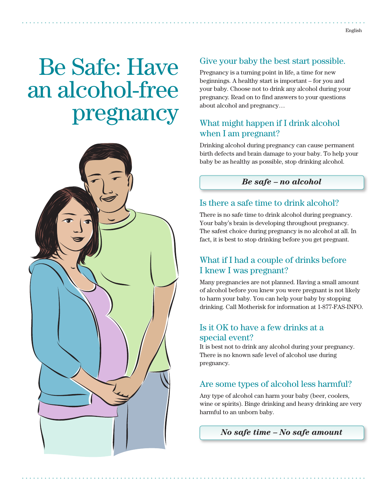# Be Safe: Have an alcohol-free pregnancy



# Give your baby the best start possible.

Pregnancy is a turning point in life, a time for new beginnings. A healthy start is important – for you and your baby. Choose not to drink any alcohol during your pregnancy. Read on to find answers to your questions about alcohol and pregnancy…

# What might happen if I drink alcohol when I am pregnant?

Drinking alcohol during pregnancy can cause permanent birth defects and brain damage to your baby. To help your baby be as healthy as possible, stop drinking alcohol.

#### *Be safe – no alcohol*

## Is there a safe time to drink alcohol?

There is no safe time to drink alcohol during pregnancy. Your baby's brain is developing throughout pregnancy. The safest choice during pregnancy is no alcohol at all. In fact, it is best to stop drinking before you get pregnant.

# What if I had a couple of drinks before I knew I was pregnant?

Many pregnancies are not planned. Having a small amount of alcohol before you knew you were pregnant is not likely to harm your baby. You can help your baby by stopping drinking. Call Motherisk for information at 1-877-FAS-INFO.

## Is it OK to have a few drinks at a special event?

It is best not to drink any alcohol during your pregnancy. There is no known safe level of alcohol use during pregnancy.

# Are some types of alcohol less harmful?

Any type of alcohol can harm your baby (beer, coolers, wine or spirits). Binge drinking and heavy drinking are very harmful to an unborn baby.